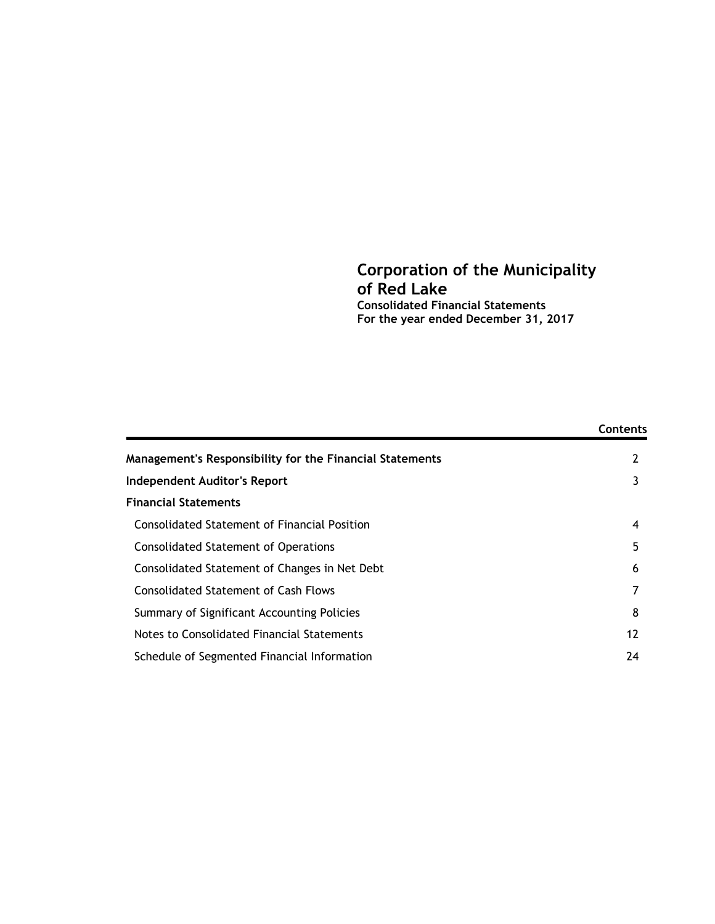## **Corporation of the Municipality of Red Lake Consolidated Financial Statements For the year ended December 31, 2017**

|                                                          | Contents |
|----------------------------------------------------------|----------|
| Management's Responsibility for the Financial Statements | 2        |
| Independent Auditor's Report                             | 3        |
| <b>Financial Statements</b>                              |          |
| Consolidated Statement of Financial Position             | 4        |
| <b>Consolidated Statement of Operations</b>              | 5        |
| Consolidated Statement of Changes in Net Debt            | 6        |
| <b>Consolidated Statement of Cash Flows</b>              | 7        |
| Summary of Significant Accounting Policies               | 8        |
| Notes to Consolidated Financial Statements               | 12       |
| Schedule of Segmented Financial Information              | 24       |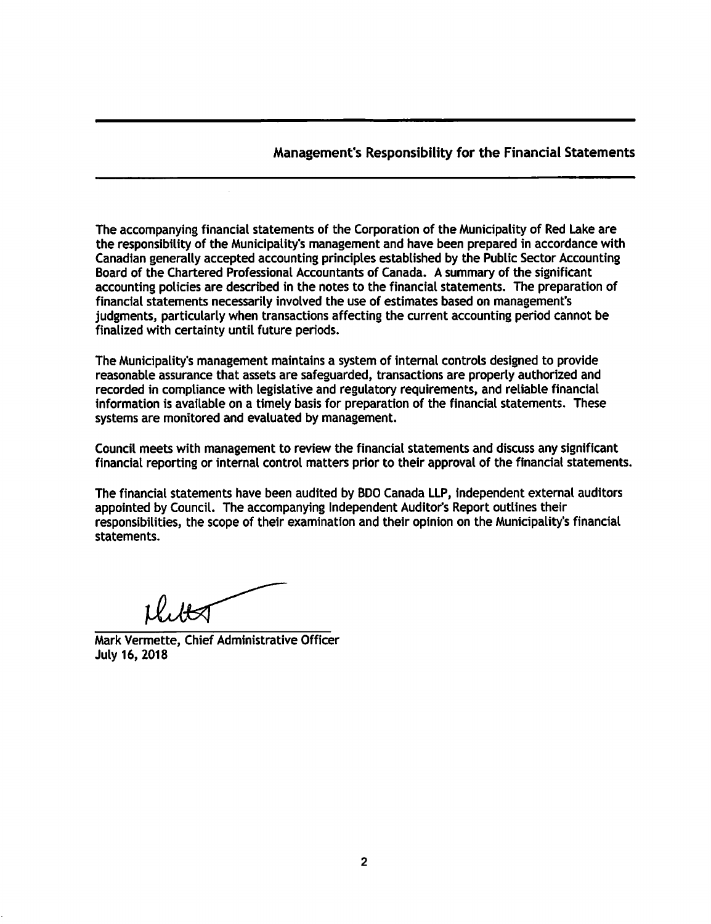## Management's Responsibility for the Financial Statements

The accompanying financial statements of the Corporation of the Municipality of Red Lake are the responsibility of the Municipality's management and have been prepared in accordance with Canadian generally accepted accounting principles established by the Public Sector Accounting Board of the Chartered Professional Accountants of Canada. A summary of the significant accounting policies are described in the notes to the financial statements. The preparation of financial statements necessarily involved the use of estimates based on management's judgments, particularly when transactions affecting the current accounting period cannot be finalized with certainty until future periods.

The Municipality's management maintains a system of internal controls designed to provide reasonable assurance that assets are safeguarded, transactions are properly authorized and recorded in compliance with legislative and regulatory requirements, and reliable financial information is available on a timely basis for preparation of the financial statements. These systems are monitored and evaluated by management.

Council meets with management to review the financial statements and discuss any significant financial reporting or internal control matters prior to their approval of the financial statements.

The financial statements have been audited by BDO Canada LLP, independent external auditors appointed by Council. The accompanying Independent Auditor's Report outlines their responsibilities, the scope of their examination and their opinion on the Municipality's financial statements.

Mark Vermette, Chief Administrative Officer **July 16, 2018**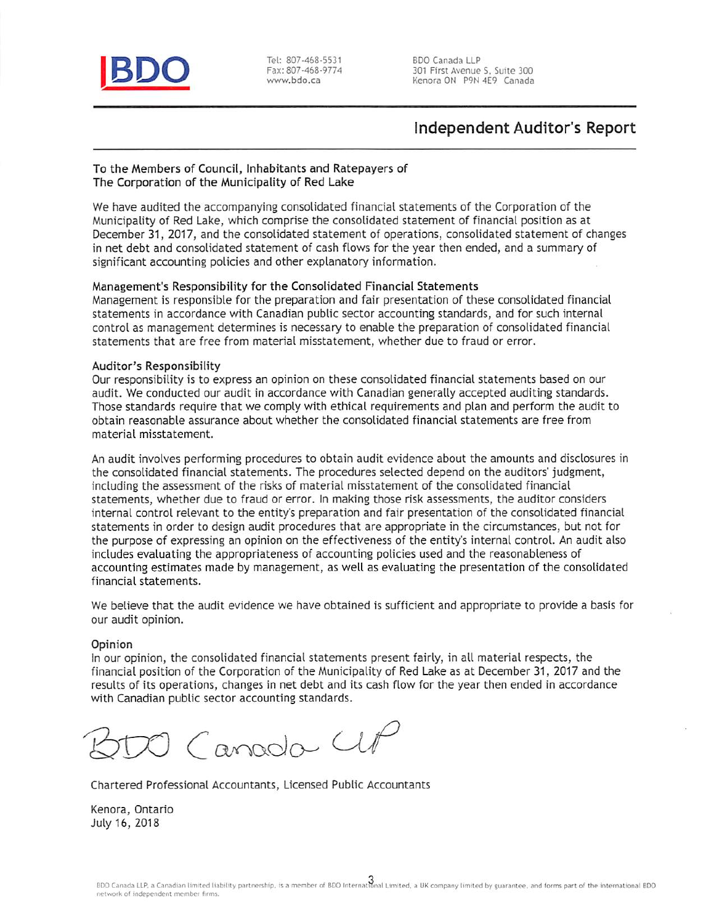

Tel: 807-468-5531 Fax: 807-468-9774 www.bdo.ca

**BDO Canada LLP** 301 First Avenue S, Suite 300 Kenora ON P9N 4E9 Canada

## Independent Auditor's Report

#### To the Members of Council, Inhabitants and Ratepayers of The Corporation of the Municipality of Red Lake

We have audited the accompanying consolidated financial statements of the Corporation of the Municipality of Red Lake, which comprise the consolidated statement of financial position as at December 31, 2017, and the consolidated statement of operations, consolidated statement of changes in net debt and consolidated statement of cash flows for the year then ended, and a summary of significant accounting policies and other explanatory information.

## Management's Responsibility for the Consolidated Financial Statements

Management is responsible for the preparation and fair presentation of these consolidated financial statements in accordance with Canadian public sector accounting standards, and for such internal control as management determines is necessary to enable the preparation of consolidated financial statements that are free from material misstatement, whether due to fraud or error.

## Auditor's Responsibility

Our responsibility is to express an opinion on these consolidated financial statements based on our audit. We conducted our audit in accordance with Canadian generally accepted auditing standards. Those standards require that we comply with ethical requirements and plan and perform the audit to obtain reasonable assurance about whether the consolidated financial statements are free from material misstatement.

An audit involves performing procedures to obtain audit evidence about the amounts and disclosures in the consolidated financial statements. The procedures selected depend on the auditors' judgment, including the assessment of the risks of material misstatement of the consolidated financial statements, whether due to fraud or error. In making those risk assessments, the auditor considers internal control relevant to the entity's preparation and fair presentation of the consolidated financial statements in order to design audit procedures that are appropriate in the circumstances, but not for the purpose of expressing an opinion on the effectiveness of the entity's internal control. An audit also includes evaluating the appropriateness of accounting policies used and the reasonableness of accounting estimates made by management, as well as evaluating the presentation of the consolidated financial statements.

We believe that the audit evidence we have obtained is sufficient and appropriate to provide a basis for our audit opinion.

#### Opinion

In our opinion, the consolidated financial statements present fairly, in all material respects, the financial position of the Corporation of the Municipality of Red Lake as at December 31, 2017 and the results of its operations, changes in net debt and its cash flow for the year then ended in accordance with Canadian public sector accounting standards.

Canado Cut

Chartered Professional Accountants, Licensed Public Accountants

Kenora, Ontario July 16, 2018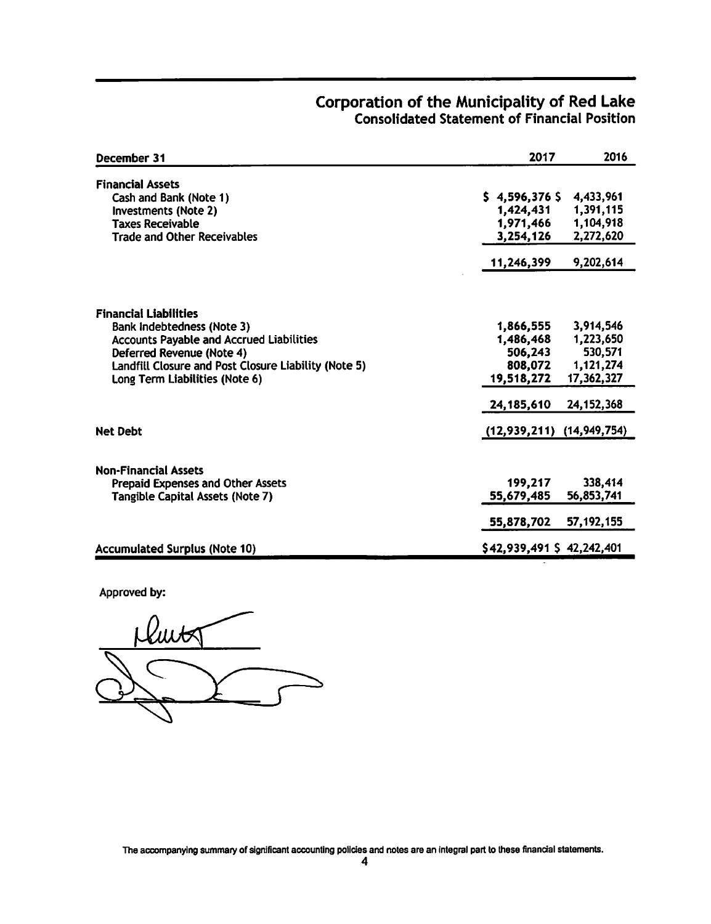# Corporation of the Municipality of Red Lake<br>Consolidated Statement of Financial Position

| December 31                                                                                                                                                                                                                          | 2017                                                                     | 2016                                                                       |
|--------------------------------------------------------------------------------------------------------------------------------------------------------------------------------------------------------------------------------------|--------------------------------------------------------------------------|----------------------------------------------------------------------------|
| <b>Financial Assets</b>                                                                                                                                                                                                              |                                                                          |                                                                            |
| Cash and Bank (Note 1)                                                                                                                                                                                                               | \$4,596,376                                                              | 4,433,961                                                                  |
| Investments (Note 2)                                                                                                                                                                                                                 | 1,424,431                                                                | 1,391,115                                                                  |
| <b>Taxes Receivable</b>                                                                                                                                                                                                              | 1,971,466                                                                | 1,104,918                                                                  |
| <b>Trade and Other Receivables</b>                                                                                                                                                                                                   | 3,254,126                                                                | 2,272,620                                                                  |
|                                                                                                                                                                                                                                      | 11,246,399                                                               | 9,202,614                                                                  |
| <b>Financial Liabilities</b><br>Bank Indebtedness (Note 3)<br><b>Accounts Payable and Accrued Liabilities</b><br>Deferred Revenue (Note 4)<br>Landfill Closure and Post Closure Liability (Note 5)<br>Long Term Liabilities (Note 6) | 1,866,555<br>1,486,468<br>506,243<br>808,072<br>19,518,272<br>24,185,610 | 3,914,546<br>1,223,650<br>530,571<br>1,121,274<br>17,362,327<br>24,152,368 |
| <b>Net Debt</b>                                                                                                                                                                                                                      | $(12, 939, 211)$ $(14, 949, 754)$                                        |                                                                            |
| <b>Non-Financial Assets</b><br>Prepaid Expenses and Other Assets<br>Tangible Capital Assets (Note 7)                                                                                                                                 | 199,217<br>55,679,485<br>55,878,702                                      | 338,414<br>56,853,741<br>57, 192, 155                                      |
| <b>Accumulated Surplus (Note 10)</b>                                                                                                                                                                                                 | \$42,939,491 \$42,242,401                                                |                                                                            |

Approved by:

wk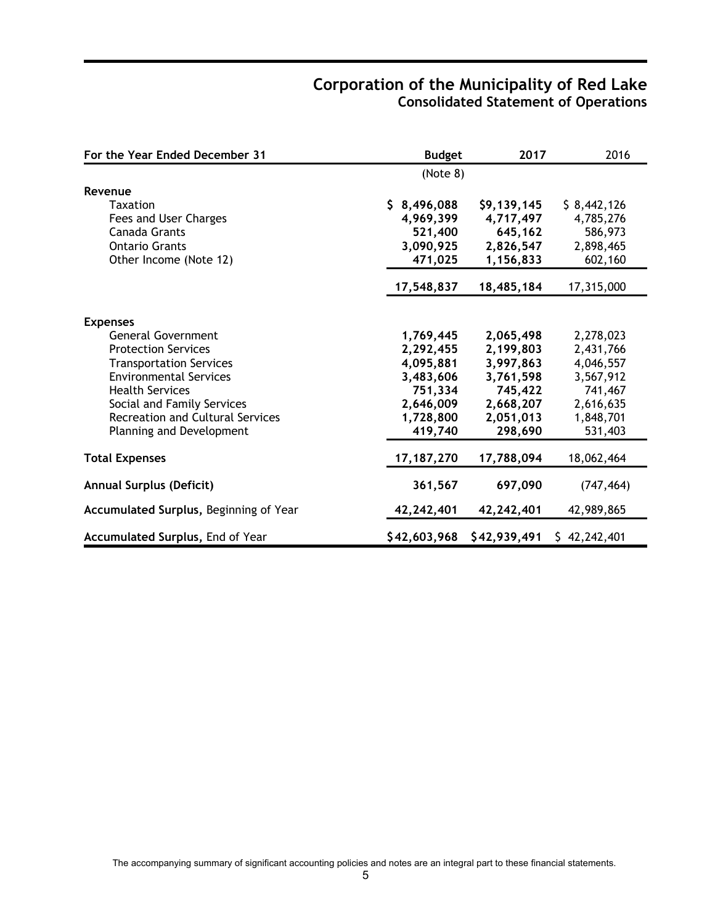## **Corporation of the Municipality of Red Lake Consolidated Statement of Operations**

| For the Year Ended December 31          | <b>Budget</b> | 2017         | 2016         |  |
|-----------------------------------------|---------------|--------------|--------------|--|
|                                         | (Note 8)      |              |              |  |
| Revenue                                 |               |              |              |  |
| <b>Taxation</b>                         | \$8,496,088   | \$9,139,145  | \$8,442,126  |  |
| Fees and User Charges                   | 4,969,399     | 4,717,497    | 4,785,276    |  |
| <b>Canada Grants</b>                    | 521,400       | 645,162      | 586,973      |  |
| <b>Ontario Grants</b>                   | 3,090,925     | 2,826,547    | 2,898,465    |  |
| Other Income (Note 12)                  | 471,025       | 1,156,833    | 602,160      |  |
|                                         | 17,548,837    | 18,485,184   | 17,315,000   |  |
| <b>Expenses</b>                         |               |              |              |  |
| <b>General Government</b>               | 1,769,445     | 2,065,498    | 2,278,023    |  |
| <b>Protection Services</b>              | 2,292,455     | 2,199,803    | 2,431,766    |  |
| <b>Transportation Services</b>          | 4,095,881     | 3,997,863    | 4,046,557    |  |
| <b>Environmental Services</b>           | 3,483,606     | 3,761,598    | 3,567,912    |  |
| <b>Health Services</b>                  | 751,334       | 745,422      | 741,467      |  |
| Social and Family Services              | 2,646,009     | 2,668,207    | 2,616,635    |  |
| <b>Recreation and Cultural Services</b> | 1,728,800     | 2,051,013    | 1,848,701    |  |
| Planning and Development                | 419,740       | 298,690      | 531,403      |  |
| <b>Total Expenses</b>                   | 17, 187, 270  | 17,788,094   | 18,062,464   |  |
| <b>Annual Surplus (Deficit)</b>         | 361,567       | 697,090      | (747, 464)   |  |
| Accumulated Surplus, Beginning of Year  | 42,242,401    | 42,242,401   | 42,989,865   |  |
| <b>Accumulated Surplus, End of Year</b> | \$42,603,968  | \$42,939,491 | \$42,242,401 |  |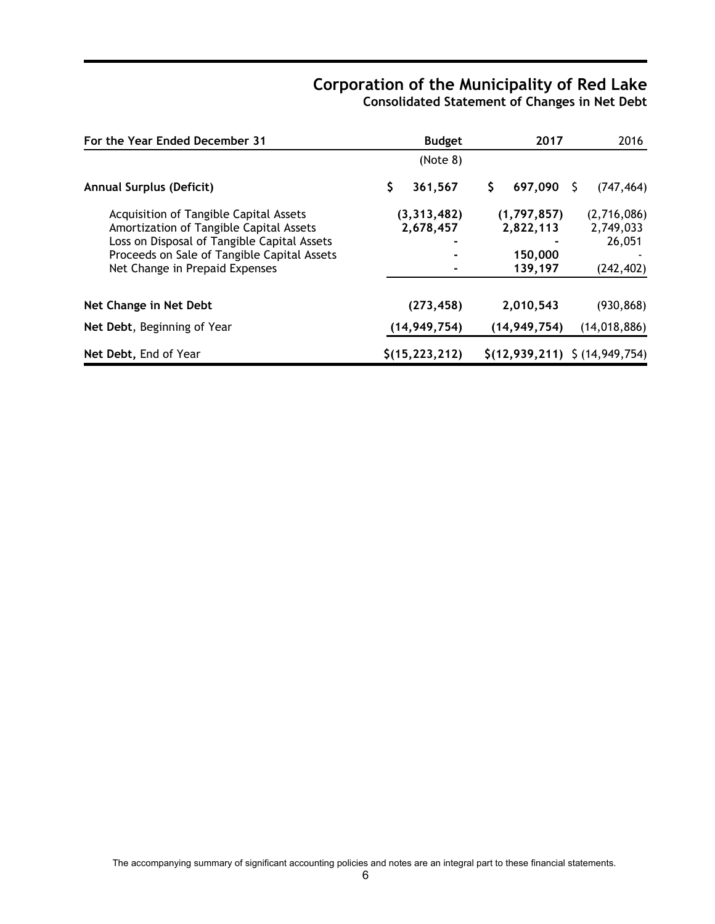# **Corporation of the Municipality of Red Lake**

**Consolidated Statement of Changes in Net Debt**

| For the Year Ended December 31                                                                                                                                                                                    | <b>Budget</b>                | 2017                                           | 2016                                             |
|-------------------------------------------------------------------------------------------------------------------------------------------------------------------------------------------------------------------|------------------------------|------------------------------------------------|--------------------------------------------------|
|                                                                                                                                                                                                                   | (Note 8)                     |                                                |                                                  |
| <b>Annual Surplus (Deficit)</b>                                                                                                                                                                                   | \$<br>361,567                | 697,090<br>\$.                                 | (747, 464)<br>S                                  |
| Acquisition of Tangible Capital Assets<br>Amortization of Tangible Capital Assets<br>Loss on Disposal of Tangible Capital Assets<br>Proceeds on Sale of Tangible Capital Assets<br>Net Change in Prepaid Expenses | (3, 313, 482)<br>2,678,457   | (1,797,857)<br>2,822,113<br>150,000<br>139,197 | (2,716,086)<br>2,749,033<br>26,051<br>(242, 402) |
| Net Change in Net Debt<br>Net Debt, Beginning of Year                                                                                                                                                             | (273, 458)<br>(14, 949, 754) | 2,010,543<br>(14, 949, 754)                    | (930, 868)<br>(14, 018, 886)                     |
| Net Debt, End of Year                                                                                                                                                                                             | \$(15, 223, 212)             |                                                | \$(12,939,211) \$ (14,949,754)                   |

The accompanying summary of significant accounting policies and notes are an integral part to these financial statements.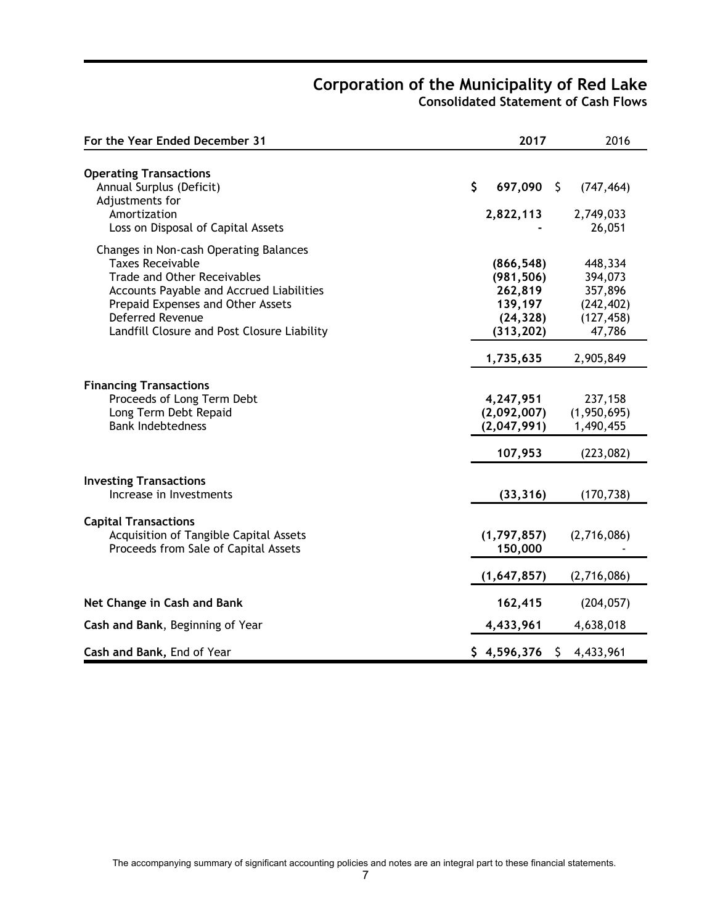# **Corporation of the Municipality of Red Lake**

**Consolidated Statement of Cash Flows**

| For the Year Ended December 31                                                                                                                                                                                                                                     | 2017                                                                      | 2016                                                                |
|--------------------------------------------------------------------------------------------------------------------------------------------------------------------------------------------------------------------------------------------------------------------|---------------------------------------------------------------------------|---------------------------------------------------------------------|
| <b>Operating Transactions</b><br>Annual Surplus (Deficit)<br>Adjustments for<br>Amortization<br>Loss on Disposal of Capital Assets                                                                                                                                 | \$<br>697,090<br>S.<br>2,822,113                                          | (747, 464)<br>2,749,033<br>26,051                                   |
| Changes in Non-cash Operating Balances<br><b>Taxes Receivable</b><br><b>Trade and Other Receivables</b><br><b>Accounts Payable and Accrued Liabilities</b><br>Prepaid Expenses and Other Assets<br>Deferred Revenue<br>Landfill Closure and Post Closure Liability | (866, 548)<br>(981, 506)<br>262,819<br>139,197<br>(24, 328)<br>(313, 202) | 448,334<br>394,073<br>357,896<br>(242, 402)<br>(127, 458)<br>47,786 |
| <b>Financing Transactions</b><br>Proceeds of Long Term Debt<br>Long Term Debt Repaid<br><b>Bank Indebtedness</b>                                                                                                                                                   | 1,735,635<br>4,247,951<br>(2,092,007)<br>(2,047,991)<br>107,953           | 2,905,849<br>237,158<br>(1,950,695)<br>1,490,455<br>(223, 082)      |
| <b>Investing Transactions</b><br>Increase in Investments                                                                                                                                                                                                           | (33, 316)                                                                 | (170, 738)                                                          |
| <b>Capital Transactions</b><br>Acquisition of Tangible Capital Assets<br>Proceeds from Sale of Capital Assets                                                                                                                                                      | (1,797,857)<br>150,000                                                    | (2,716,086)                                                         |
|                                                                                                                                                                                                                                                                    | (1,647,857)                                                               | (2,716,086)                                                         |
| Net Change in Cash and Bank                                                                                                                                                                                                                                        | 162,415                                                                   | (204, 057)                                                          |
| Cash and Bank, Beginning of Year                                                                                                                                                                                                                                   | 4,433,961                                                                 | 4,638,018                                                           |
| Cash and Bank, End of Year                                                                                                                                                                                                                                         | \$4,596,376<br>\$                                                         | 4,433,961                                                           |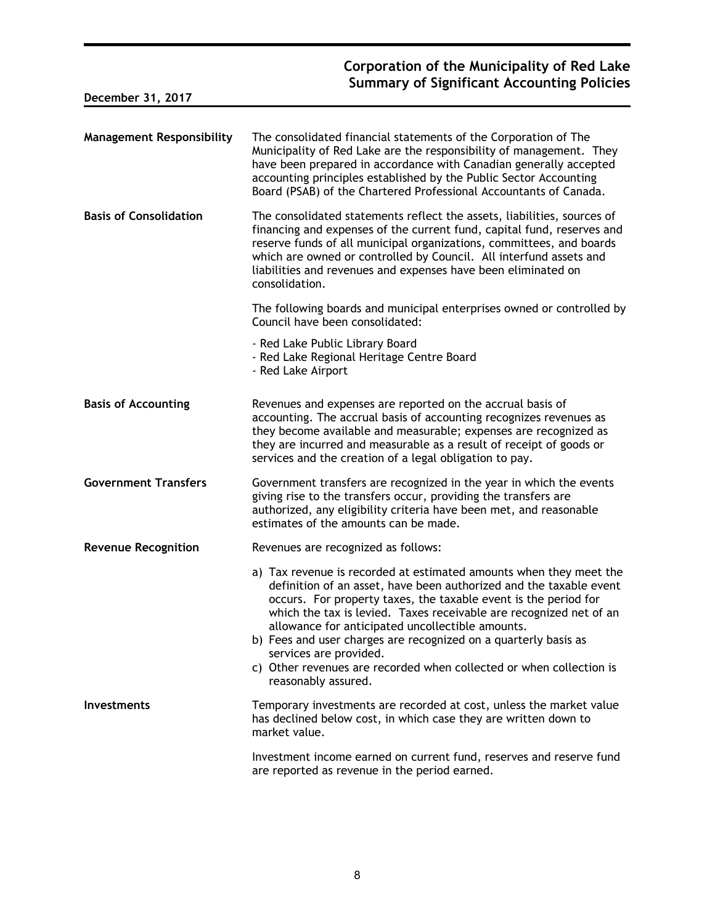## **Corporation of the Municipality of Red Lake Summary of Significant Accounting Policies**

| December 31, 2017 |  |  |
|-------------------|--|--|
|-------------------|--|--|

| <b>Management Responsibility</b> | The consolidated financial statements of the Corporation of The<br>Municipality of Red Lake are the responsibility of management. They<br>have been prepared in accordance with Canadian generally accepted<br>accounting principles established by the Public Sector Accounting<br>Board (PSAB) of the Chartered Professional Accountants of Canada.                                                                                                                                                                            |
|----------------------------------|----------------------------------------------------------------------------------------------------------------------------------------------------------------------------------------------------------------------------------------------------------------------------------------------------------------------------------------------------------------------------------------------------------------------------------------------------------------------------------------------------------------------------------|
| <b>Basis of Consolidation</b>    | The consolidated statements reflect the assets, liabilities, sources of<br>financing and expenses of the current fund, capital fund, reserves and<br>reserve funds of all municipal organizations, committees, and boards<br>which are owned or controlled by Council. All interfund assets and<br>liabilities and revenues and expenses have been eliminated on<br>consolidation.                                                                                                                                               |
|                                  | The following boards and municipal enterprises owned or controlled by<br>Council have been consolidated:                                                                                                                                                                                                                                                                                                                                                                                                                         |
|                                  | - Red Lake Public Library Board<br>- Red Lake Regional Heritage Centre Board<br>- Red Lake Airport                                                                                                                                                                                                                                                                                                                                                                                                                               |
| <b>Basis of Accounting</b>       | Revenues and expenses are reported on the accrual basis of<br>accounting. The accrual basis of accounting recognizes revenues as<br>they become available and measurable; expenses are recognized as<br>they are incurred and measurable as a result of receipt of goods or<br>services and the creation of a legal obligation to pay.                                                                                                                                                                                           |
| <b>Government Transfers</b>      | Government transfers are recognized in the year in which the events<br>giving rise to the transfers occur, providing the transfers are<br>authorized, any eligibility criteria have been met, and reasonable<br>estimates of the amounts can be made.                                                                                                                                                                                                                                                                            |
| <b>Revenue Recognition</b>       | Revenues are recognized as follows:                                                                                                                                                                                                                                                                                                                                                                                                                                                                                              |
|                                  | a) Tax revenue is recorded at estimated amounts when they meet the<br>definition of an asset, have been authorized and the taxable event<br>occurs. For property taxes, the taxable event is the period for<br>which the tax is levied. Taxes receivable are recognized net of an<br>allowance for anticipated uncollectible amounts.<br>b) Fees and user charges are recognized on a quarterly basis as<br>services are provided.<br>c) Other revenues are recorded when collected or when collection is<br>reasonably assured. |
| <b>Investments</b>               | Temporary investments are recorded at cost, unless the market value<br>has declined below cost, in which case they are written down to<br>market value.                                                                                                                                                                                                                                                                                                                                                                          |
|                                  | Investment income earned on current fund, reserves and reserve fund<br>are reported as revenue in the period earned.                                                                                                                                                                                                                                                                                                                                                                                                             |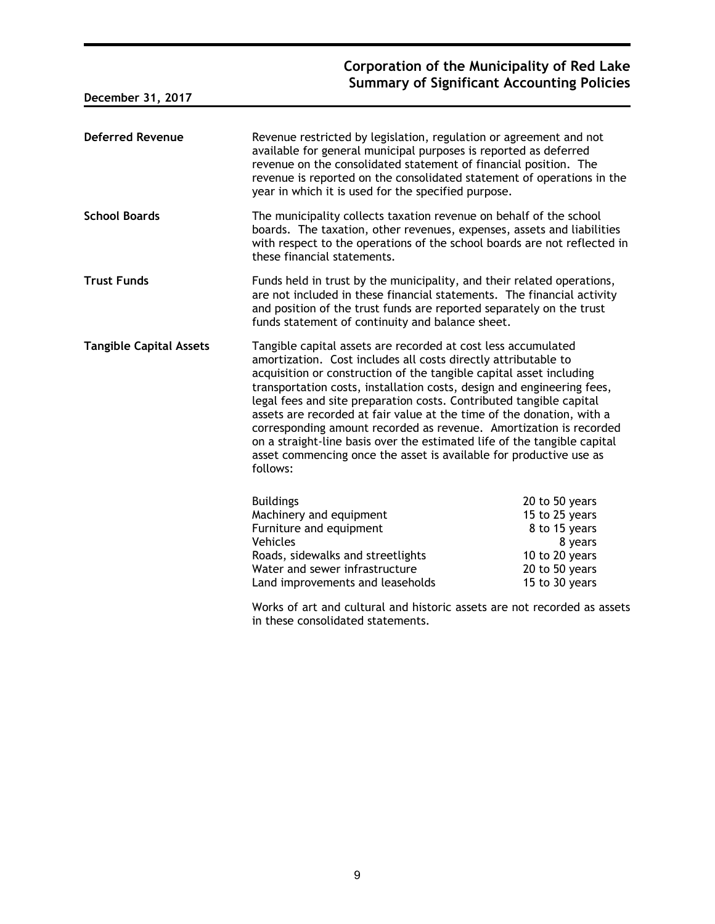## **Corporation of the Municipality of Red Lake Summary of Significant Accounting Policies**

**December 31, 2017**

| <b>Deferred Revenue</b>        | Revenue restricted by legislation, regulation or agreement and not<br>available for general municipal purposes is reported as deferred<br>revenue on the consolidated statement of financial position. The<br>revenue is reported on the consolidated statement of operations in the<br>year in which it is used for the specified purpose. |                                                                                                                                                                                                                                                                                                                                                                                                                                                                                                                                                                                                                                                          |  |  |  |
|--------------------------------|---------------------------------------------------------------------------------------------------------------------------------------------------------------------------------------------------------------------------------------------------------------------------------------------------------------------------------------------|----------------------------------------------------------------------------------------------------------------------------------------------------------------------------------------------------------------------------------------------------------------------------------------------------------------------------------------------------------------------------------------------------------------------------------------------------------------------------------------------------------------------------------------------------------------------------------------------------------------------------------------------------------|--|--|--|
| <b>School Boards</b>           | these financial statements.                                                                                                                                                                                                                                                                                                                 | The municipality collects taxation revenue on behalf of the school<br>boards. The taxation, other revenues, expenses, assets and liabilities<br>with respect to the operations of the school boards are not reflected in                                                                                                                                                                                                                                                                                                                                                                                                                                 |  |  |  |
| <b>Trust Funds</b>             | Funds held in trust by the municipality, and their related operations,<br>are not included in these financial statements. The financial activity<br>and position of the trust funds are reported separately on the trust<br>funds statement of continuity and balance sheet.                                                                |                                                                                                                                                                                                                                                                                                                                                                                                                                                                                                                                                                                                                                                          |  |  |  |
| <b>Tangible Capital Assets</b> | follows:                                                                                                                                                                                                                                                                                                                                    | Tangible capital assets are recorded at cost less accumulated<br>amortization. Cost includes all costs directly attributable to<br>acquisition or construction of the tangible capital asset including<br>transportation costs, installation costs, design and engineering fees,<br>legal fees and site preparation costs. Contributed tangible capital<br>assets are recorded at fair value at the time of the donation, with a<br>corresponding amount recorded as revenue. Amortization is recorded<br>on a straight-line basis over the estimated life of the tangible capital<br>asset commencing once the asset is available for productive use as |  |  |  |
|                                | <b>Buildings</b><br>Machinery and equipment<br>Furniture and equipment<br>Vehicles<br>Roads, sidewalks and streetlights<br>Water and sewer infrastructure<br>Land improvements and leaseholds                                                                                                                                               | 20 to 50 years<br>15 to 25 years<br>8 to 15 years<br>8 years<br>10 to 20 years<br>20 to 50 years<br>15 to 30 years                                                                                                                                                                                                                                                                                                                                                                                                                                                                                                                                       |  |  |  |
|                                | Works of art and cultural and historic assets are not recorded as assets                                                                                                                                                                                                                                                                    |                                                                                                                                                                                                                                                                                                                                                                                                                                                                                                                                                                                                                                                          |  |  |  |

assets are not recorded as in these consolidated statements.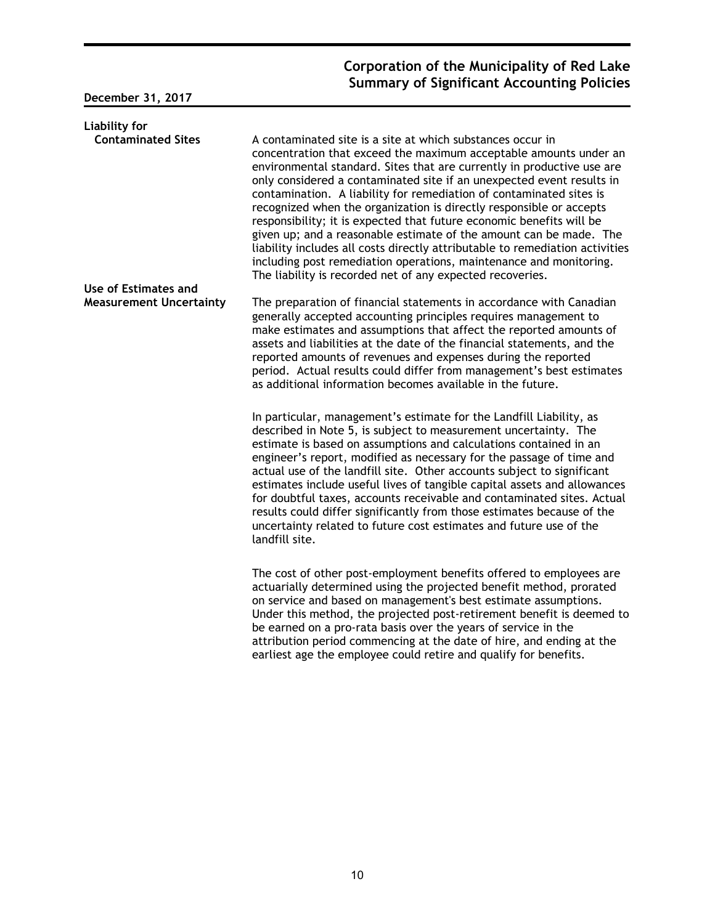| <b>Liability for</b>           |                                                                                                                                                                                                                                                                                                                                                                                                                                                                                                                                                                                                                                                                                                                                                                                                   |
|--------------------------------|---------------------------------------------------------------------------------------------------------------------------------------------------------------------------------------------------------------------------------------------------------------------------------------------------------------------------------------------------------------------------------------------------------------------------------------------------------------------------------------------------------------------------------------------------------------------------------------------------------------------------------------------------------------------------------------------------------------------------------------------------------------------------------------------------|
| <b>Contaminated Sites</b>      | A contaminated site is a site at which substances occur in<br>concentration that exceed the maximum acceptable amounts under an<br>environmental standard. Sites that are currently in productive use are<br>only considered a contaminated site if an unexpected event results in<br>contamination. A liability for remediation of contaminated sites is<br>recognized when the organization is directly responsible or accepts<br>responsibility; it is expected that future economic benefits will be<br>given up; and a reasonable estimate of the amount can be made. The<br>liability includes all costs directly attributable to remediation activities<br>including post remediation operations, maintenance and monitoring.<br>The liability is recorded net of any expected recoveries. |
| Use of Estimates and           |                                                                                                                                                                                                                                                                                                                                                                                                                                                                                                                                                                                                                                                                                                                                                                                                   |
| <b>Measurement Uncertainty</b> | The preparation of financial statements in accordance with Canadian<br>generally accepted accounting principles requires management to<br>make estimates and assumptions that affect the reported amounts of<br>assets and liabilities at the date of the financial statements, and the<br>reported amounts of revenues and expenses during the reported<br>period. Actual results could differ from management's best estimates<br>as additional information becomes available in the future.                                                                                                                                                                                                                                                                                                    |
|                                | In particular, management's estimate for the Landfill Liability, as<br>described in Note 5, is subject to measurement uncertainty. The<br>estimate is based on assumptions and calculations contained in an<br>engineer's report, modified as necessary for the passage of time and<br>actual use of the landfill site. Other accounts subject to significant<br>estimates include useful lives of tangible capital assets and allowances<br>for doubtful taxes, accounts receivable and contaminated sites. Actual<br>results could differ significantly from those estimates because of the<br>uncertainty related to future cost estimates and future use of the<br>landfill site.                                                                                                             |
|                                | The cost of other post-employment benefits offered to employees are<br>actuarially determined using the projected benefit method, prorated<br>on service and based on management's best estimate assumptions.<br>Under this method, the projected post-retirement benefit is deemed to<br>be earned on a pro-rata basis over the years of service in the<br>attribution period commencing at the date of hire, and ending at the                                                                                                                                                                                                                                                                                                                                                                  |

earliest age the employee could retire and qualify for benefits.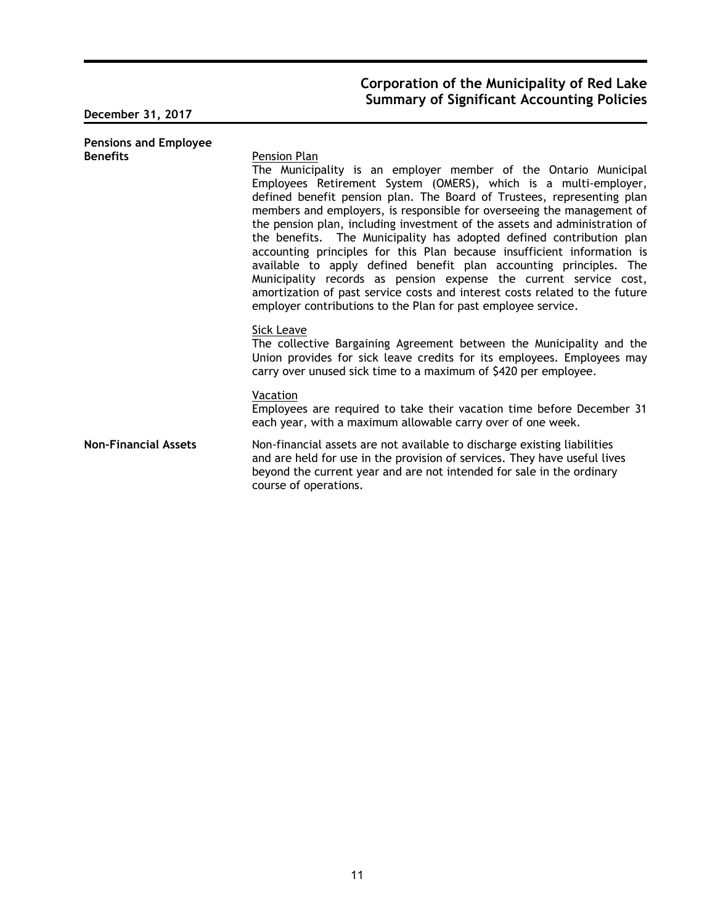## **Corporation of the Municipality of Red Lake Summary of Significant Accounting Policies**

**December 31, 2017**

| <b>Pensions and Employee</b><br><b>Benefits</b> | Pension Plan<br>The Municipality is an employer member of the Ontario Municipal<br>Employees Retirement System (OMERS), which is a multi-employer,<br>defined benefit pension plan. The Board of Trustees, representing plan<br>members and employers, is responsible for overseeing the management of<br>the pension plan, including investment of the assets and administration of<br>the benefits. The Municipality has adopted defined contribution plan<br>accounting principles for this Plan because insufficient information is<br>available to apply defined benefit plan accounting principles. The<br>Municipality records as pension expense the current service cost,<br>amortization of past service costs and interest costs related to the future<br>employer contributions to the Plan for past employee service. |
|-------------------------------------------------|------------------------------------------------------------------------------------------------------------------------------------------------------------------------------------------------------------------------------------------------------------------------------------------------------------------------------------------------------------------------------------------------------------------------------------------------------------------------------------------------------------------------------------------------------------------------------------------------------------------------------------------------------------------------------------------------------------------------------------------------------------------------------------------------------------------------------------|
|                                                 | Sick Leave<br>The collective Bargaining Agreement between the Municipality and the<br>Union provides for sick leave credits for its employees. Employees may<br>carry over unused sick time to a maximum of \$420 per employee.                                                                                                                                                                                                                                                                                                                                                                                                                                                                                                                                                                                                    |
|                                                 | Vacation<br>Employees are required to take their vacation time before December 31<br>each year, with a maximum allowable carry over of one week.                                                                                                                                                                                                                                                                                                                                                                                                                                                                                                                                                                                                                                                                                   |
| <b>Non-Financial Assets</b>                     | Non-financial assets are not available to discharge existing liabilities<br>and are held for use in the provision of services. They have useful lives<br>beyond the current year and are not intended for sale in the ordinary<br>course of operations.                                                                                                                                                                                                                                                                                                                                                                                                                                                                                                                                                                            |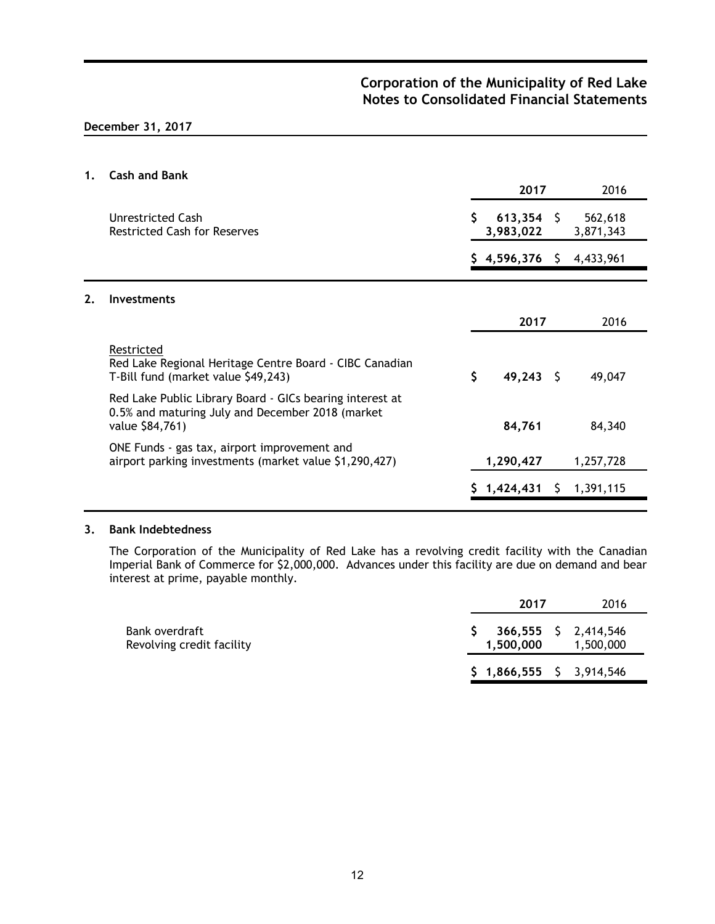## **December 31, 2017**

## **1. Cash and Bank**

|    |                                                                                                                                 |    | 2017                      |    | 2016                 |
|----|---------------------------------------------------------------------------------------------------------------------------------|----|---------------------------|----|----------------------|
|    | Unrestricted Cash<br><b>Restricted Cash for Reserves</b>                                                                        | S  | $613,354$ \$<br>3,983,022 |    | 562,618<br>3,871,343 |
|    |                                                                                                                                 |    | 4,596,376                 |    | 4,433,961            |
| 2. | <b>Investments</b>                                                                                                              |    |                           |    |                      |
|    |                                                                                                                                 |    | 2017                      |    | 2016                 |
|    | Restricted<br>Red Lake Regional Heritage Centre Board - CIBC Canadian<br>T-Bill fund (market value \$49,243)                    | \$ | $49,243$ \$               |    | 49,047               |
|    | Red Lake Public Library Board - GICs bearing interest at<br>0.5% and maturing July and December 2018 (market<br>value \$84,761) |    | 84,761                    |    | 84,340               |
|    | ONE Funds - gas tax, airport improvement and<br>airport parking investments (market value \$1,290,427)                          |    | 1,290,427                 |    | 1,257,728            |
|    |                                                                                                                                 |    | 1,424,431                 | S. | 1,391,115            |
|    |                                                                                                                                 |    |                           |    |                      |

## **3. Bank Indebtedness**

The Corporation of the Municipality of Red Lake has a revolving credit facility with the Canadian Imperial Bank of Commerce for \$2,000,000. Advances under this facility are due on demand and bear interest at prime, payable monthly.

|                                             | 2017                       |  | 2016                                |  |
|---------------------------------------------|----------------------------|--|-------------------------------------|--|
| Bank overdraft<br>Revolving credit facility | 1,500,000                  |  | $366,555$ \$ 2,414,546<br>1,500,000 |  |
|                                             | $$1,866,555 \t$ 3,914,546$ |  |                                     |  |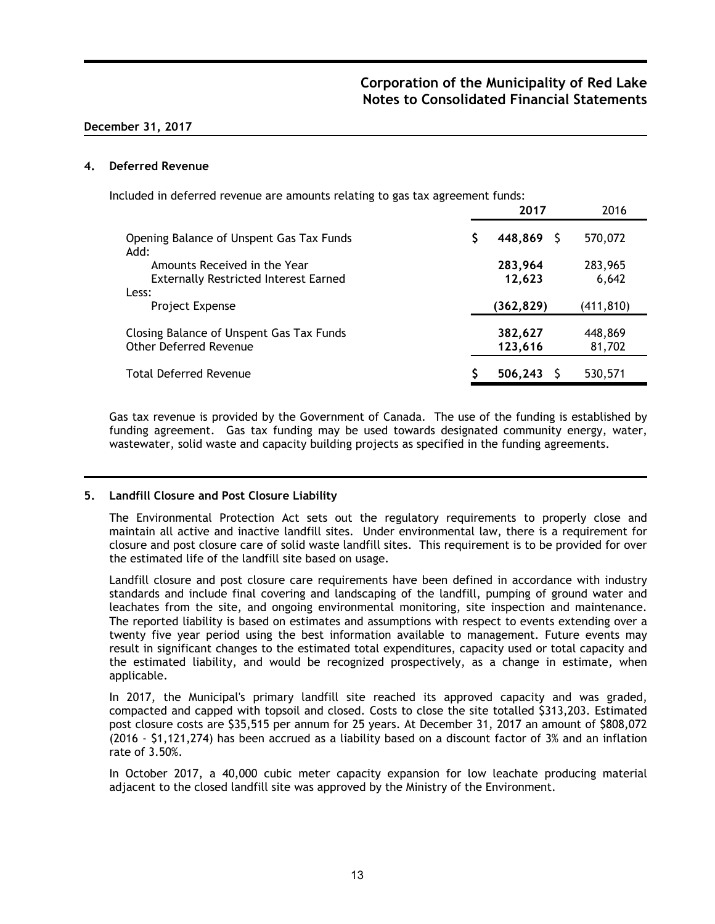## **4. Deferred Revenue**

Included in deferred revenue are amounts relating to gas tax agreement funds:

|                                                                           |   | 2017               | 2016              |
|---------------------------------------------------------------------------|---|--------------------|-------------------|
| Opening Balance of Unspent Gas Tax Funds<br>Add:                          | S | $448,869$ \$       | 570,072           |
| Amounts Received in the Year                                              |   | 283,964            | 283,965           |
| <b>Externally Restricted Interest Earned</b>                              |   | 12,623             | 6,642             |
| Less:                                                                     |   |                    |                   |
| Project Expense                                                           |   | (362,829)          | (411, 810)        |
| Closing Balance of Unspent Gas Tax Funds<br><b>Other Deferred Revenue</b> |   | 382,627<br>123,616 | 448,869<br>81,702 |
| <b>Total Deferred Revenue</b>                                             |   | 506,243            | 530,571           |

Gas tax revenue is provided by the Government of Canada. The use of the funding is established by funding agreement. Gas tax funding may be used towards designated community energy, water, wastewater, solid waste and capacity building projects as specified in the funding agreements.

## **5. Landfill Closure and Post Closure Liability**

The Environmental Protection Act sets out the regulatory requirements to properly close and maintain all active and inactive landfill sites. Under environmental law, there is a requirement for closure and post closure care of solid waste landfill sites. This requirement is to be provided for over the estimated life of the landfill site based on usage.

Landfill closure and post closure care requirements have been defined in accordance with industry standards and include final covering and landscaping of the landfill, pumping of ground water and leachates from the site, and ongoing environmental monitoring, site inspection and maintenance. The reported liability is based on estimates and assumptions with respect to events extending over a twenty five year period using the best information available to management. Future events may result in significant changes to the estimated total expenditures, capacity used or total capacity and the estimated liability, and would be recognized prospectively, as a change in estimate, when applicable.

In 2017, the Municipal's primary landfill site reached its approved capacity and was graded, compacted and capped with topsoil and closed. Costs to close the site totalled \$313,203. Estimated post closure costs are \$35,515 per annum for 25 years. At December 31, 2017 an amount of \$808,072 (2016 - \$1,121,274) has been accrued as a liability based on a discount factor of 3% and an inflation rate of 3.50%.

In October 2017, a 40,000 cubic meter capacity expansion for low leachate producing material adjacent to the closed landfill site was approved by the Ministry of the Environment.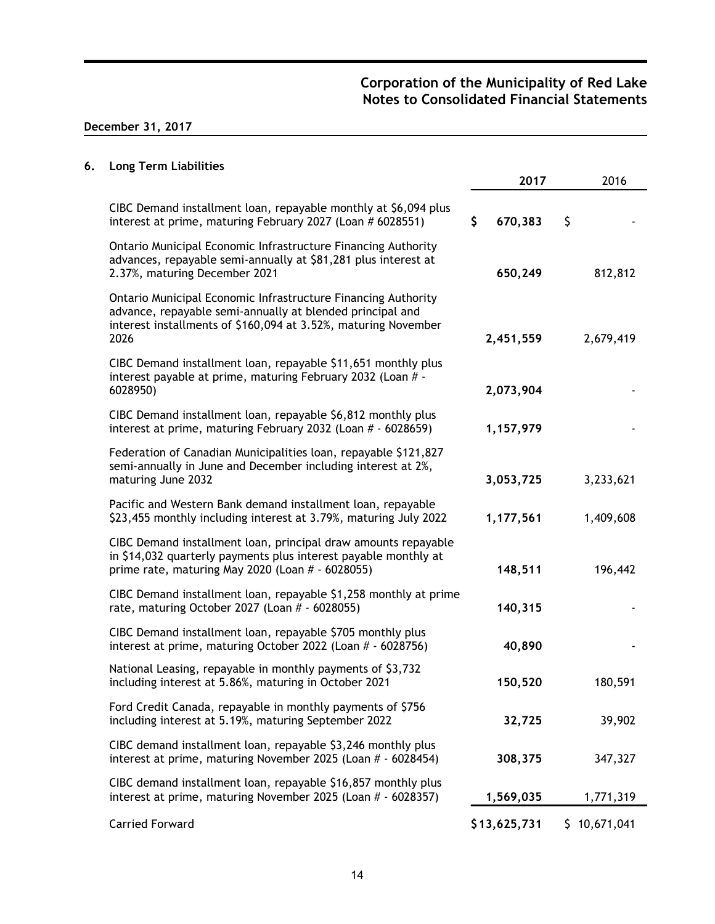## **December 31, 2017**

## **6. Long Term Liabilities**

|                                                                                                                                                                                                      | 2017          | 2016         |
|------------------------------------------------------------------------------------------------------------------------------------------------------------------------------------------------------|---------------|--------------|
| CIBC Demand installment loan, repayable monthly at \$6,094 plus<br>interest at prime, maturing February 2027 (Loan # 6028551)                                                                        | \$<br>670,383 | \$           |
| Ontario Municipal Economic Infrastructure Financing Authority<br>advances, repayable semi-annually at \$81,281 plus interest at<br>2.37%, maturing December 2021                                     | 650,249       | 812,812      |
| Ontario Municipal Economic Infrastructure Financing Authority<br>advance, repayable semi-annually at blended principal and<br>interest installments of \$160,094 at 3.52%, maturing November<br>2026 | 2,451,559     | 2,679,419    |
| CIBC Demand installment loan, repayable \$11,651 monthly plus<br>interest payable at prime, maturing February 2032 (Loan # -<br>6028950)                                                             | 2,073,904     |              |
| CIBC Demand installment loan, repayable \$6,812 monthly plus<br>interest at prime, maturing February 2032 (Loan # - 6028659)                                                                         | 1,157,979     |              |
| Federation of Canadian Municipalities loan, repayable \$121,827<br>semi-annually in June and December including interest at 2%,<br>maturing June 2032                                                | 3,053,725     | 3,233,621    |
| Pacific and Western Bank demand installment loan, repayable<br>\$23,455 monthly including interest at 3.79%, maturing July 2022                                                                      | 1,177,561     | 1,409,608    |
| CIBC Demand installment loan, principal draw amounts repayable<br>in \$14,032 quarterly payments plus interest payable monthly at<br>prime rate, maturing May 2020 (Loan $# -6028055$ )              | 148,511       | 196,442      |
| CIBC Demand installment loan, repayable \$1,258 monthly at prime<br>rate, maturing October 2027 (Loan $# -6028055$ )                                                                                 | 140,315       |              |
| CIBC Demand installment loan, repayable \$705 monthly plus<br>interest at prime, maturing October 2022 (Loan # - 6028756)                                                                            | 40,890        |              |
| National Leasing, repayable in monthly payments of \$3,732<br>including interest at 5.86%, maturing in October 2021                                                                                  | 150,520       | 180,591      |
| Ford Credit Canada, repayable in monthly payments of \$756<br>including interest at 5.19%, maturing September 2022                                                                                   | 32,725        | 39,902       |
| CIBC demand installment loan, repayable \$3,246 monthly plus<br>interest at prime, maturing November 2025 (Loan # - 6028454)                                                                         | 308,375       | 347,327      |
| CIBC demand installment loan, repayable \$16,857 monthly plus<br>interest at prime, maturing November 2025 (Loan # - 6028357)                                                                        | 1,569,035     | 1,771,319    |
| <b>Carried Forward</b>                                                                                                                                                                               | \$13,625,731  | \$10,671,041 |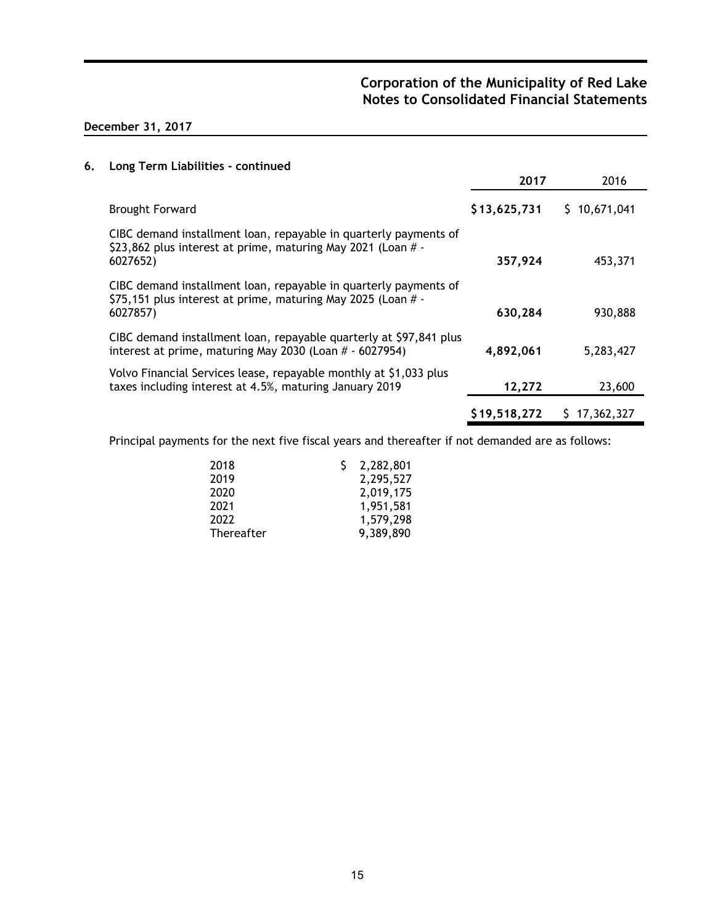## **December 31, 2017**

| 6. | Long Term Liabilities - continued                                                                                                            |              |              |
|----|----------------------------------------------------------------------------------------------------------------------------------------------|--------------|--------------|
|    |                                                                                                                                              | 2017         | 2016         |
|    | <b>Brought Forward</b>                                                                                                                       | \$13,625,731 | \$10,671,041 |
|    | CIBC demand installment loan, repayable in quarterly payments of<br>\$23,862 plus interest at prime, maturing May 2021 (Loan # -<br>6027652) | 357,924      | 453,371      |
|    | CIBC demand installment loan, repayable in quarterly payments of<br>\$75,151 plus interest at prime, maturing May 2025 (Loan # -<br>6027857) | 630,284      | 930,888      |
|    | CIBC demand installment loan, repayable quarterly at \$97,841 plus<br>interest at prime, maturing May 2030 (Loan # - 6027954)                | 4,892,061    | 5,283,427    |
|    | Volvo Financial Services lease, repayable monthly at \$1,033 plus<br>taxes including interest at 4.5%, maturing January 2019                 | 12,272       | 23,600       |
|    |                                                                                                                                              | \$19,518,272 | \$17,362,327 |
|    |                                                                                                                                              |              |              |

Principal payments for the next five fiscal years and thereafter if not demanded are as follows:

| 2018       | 2,282,801 |
|------------|-----------|
| 2019       | 2,295,527 |
| 2020       | 2,019,175 |
| 2021       | 1,951,581 |
| 2022       | 1,579,298 |
| Thereafter | 9,389,890 |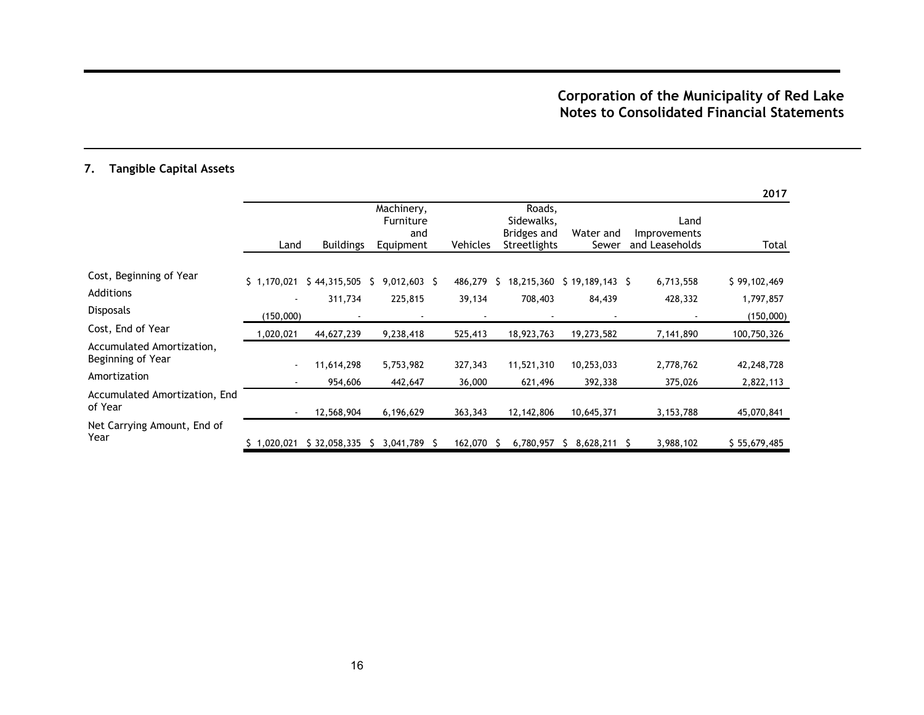# **7. Tangible Capital Assets**

|                                                |             |                  |                                             |                 |                                                            |                            |                                        | 2017         |
|------------------------------------------------|-------------|------------------|---------------------------------------------|-----------------|------------------------------------------------------------|----------------------------|----------------------------------------|--------------|
|                                                | Land        | <b>Buildings</b> | Machinery,<br>Furniture<br>and<br>Equipment | <b>Vehicles</b> | Roads,<br>Sidewalks,<br>Bridges and<br><b>Streetlights</b> | Water and<br>Sewer         | Land<br>Improvements<br>and Leaseholds | Total        |
| Cost, Beginning of Year                        | \$1,170,021 | $$44,315,505$ \$ | $9,012,603$ \$                              | 486,279         | S                                                          | 18,215,360 \$19,189,143 \$ | 6,713,558                              | \$99,102,469 |
| Additions                                      |             | 311,734          | 225,815                                     | 39,134          | 708,403                                                    | 84,439                     | 428,332                                | 1,797,857    |
| Disposals                                      | (150,000)   |                  |                                             |                 |                                                            |                            |                                        | (150,000)    |
| Cost, End of Year                              | 1,020,021   | 44,627,239       | 9,238,418                                   | 525,413         | 18,923,763                                                 | 19,273,582                 | 7,141,890                              | 100,750,326  |
| Accumulated Amortization,<br>Beginning of Year |             | 11,614,298       | 5,753,982                                   | 327,343         | 11,521,310                                                 | 10,253,033                 | 2,778,762                              | 42,248,728   |
| Amortization                                   |             | 954,606          | 442,647                                     | 36,000          | 621,496                                                    | 392,338                    | 375,026                                | 2,822,113    |
| Accumulated Amortization, End<br>of Year       |             | 12,568,904       | 6,196,629                                   | 363,343         | 12,142,806                                                 | 10,645,371                 | 3,153,788                              | 45,070,841   |
| Net Carrying Amount, End of<br>Year            | \$1,020,021 |                  | $$32,058,335 \quad $3,041,789 \quad $$      | 162,070         | $6,780,957$ \$<br>- S                                      | 8,628,211 \$               | 3,988,102                              | \$55,679,485 |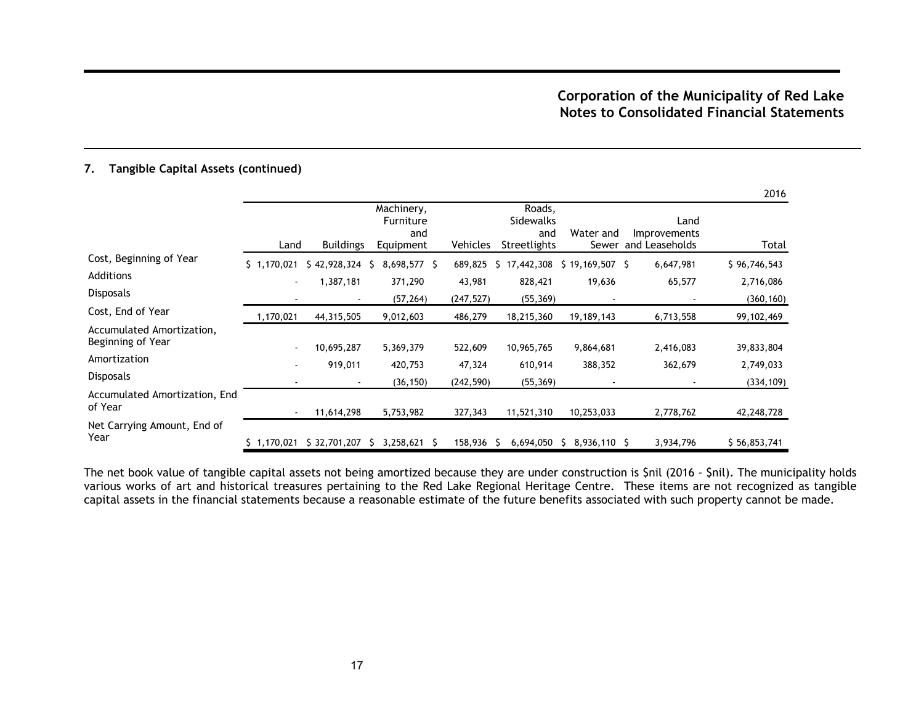2016

## **7. Tangible Capital Assets (continued)**

|                                                |             |                  |                                             |                 |                                                   |                    |                                               | 2016         |
|------------------------------------------------|-------------|------------------|---------------------------------------------|-----------------|---------------------------------------------------|--------------------|-----------------------------------------------|--------------|
|                                                | Land        | <b>Buildings</b> | Machinery,<br>Furniture<br>and<br>Equipment | <b>Vehicles</b> | Roads,<br>Sidewalks<br>and<br><b>Streetlights</b> | Water and<br>Sewer | Land<br><b>Improvements</b><br>and Leaseholds | Total        |
| Cost, Beginning of Year                        | \$1,170,021 | \$42,928,324     | 8,698,577 \$<br>S                           | 689,825         | 17,442,308<br>S.                                  | $$19,169,507$ \$   | 6,647,981                                     | \$96,746,543 |
| <b>Additions</b>                               | ٠           | 1,387,181        | 371,290                                     | 43,981          | 828,421                                           | 19,636             | 65,577                                        | 2,716,086    |
| Disposals                                      |             |                  | (57, 264)                                   | (247, 527)      | (55, 369)                                         |                    |                                               | (360, 160)   |
| Cost, End of Year                              | 170,021,١   | 44,315,505       | 9,012,603                                   | 486,279         | 18,215,360                                        | 19,189,143         | 6,713,558                                     | 99,102,469   |
| Accumulated Amortization,<br>Beginning of Year |             | 10,695,287       | 5,369,379                                   | 522,609         | 10,965,765                                        | 9,864,681          | 2,416,083                                     | 39,833,804   |
| Amortization                                   |             | 919,011          | 420,753                                     | 47,324          | 610,914                                           | 388,352            | 362,679                                       | 2,749,033    |
| <b>Disposals</b>                               |             |                  | (36, 150)                                   | (242, 590)      | (55, 369)                                         |                    |                                               | (334, 109)   |
| Accumulated Amortization, End<br>of Year       |             | 11,614,298       | 5,753,982                                   | 327,343         | 11,521,310                                        | 10,253,033         | 2,778,762                                     | 42,248,728   |
| Net Carrying Amount, End of<br>Year            | \$1,170,021 |                  | $$32,701,207$ $$3,258,621$ $$$              | 158,936 \$      | 6,694,050                                         | $$8,936,110$ $$$   | 3,934,796                                     | \$56,853,741 |

The net book value of tangible capital assets not being amortized because they are under construction is \$nil (2016 - \$nil). The municipality holds various works of art and historical treasures pertaining to the Red Lake Regional Heritage Centre. These items are not recognized as tangible capital assets in the financial statements because a reasonable estimate of the future benefits associated with such property cannot be made.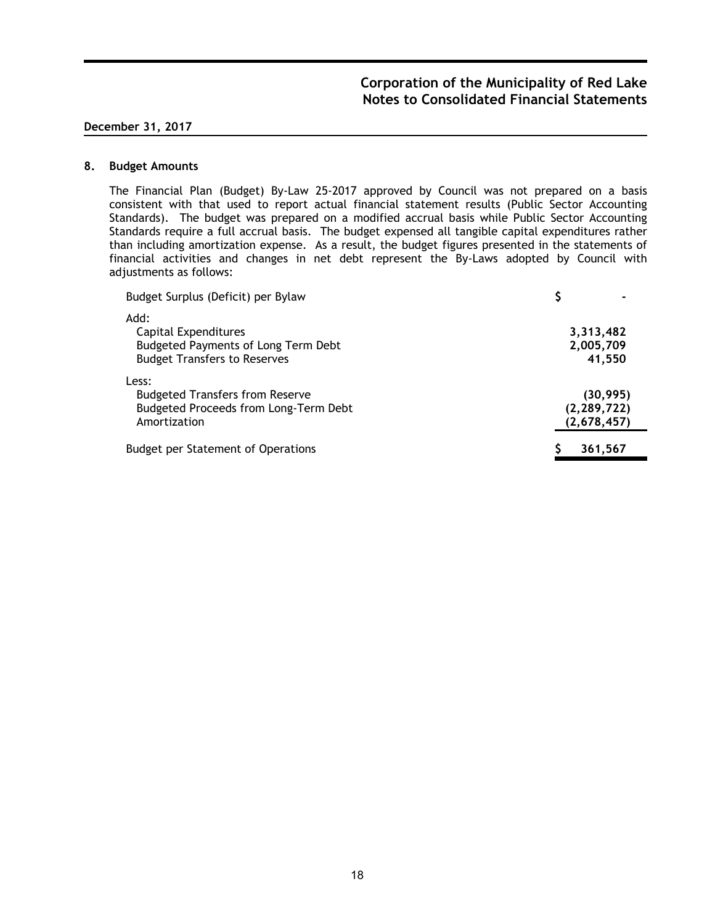## **8. Budget Amounts**

The Financial Plan (Budget) By-Law 25-2017 approved by Council was not prepared on a basis consistent with that used to report actual financial statement results (Public Sector Accounting Standards). The budget was prepared on a modified accrual basis while Public Sector Accounting Standards require a full accrual basis. The budget expensed all tangible capital expenditures rather than including amortization expense. As a result, the budget figures presented in the statements of financial activities and changes in net debt represent the By-Laws adopted by Council with adjustments as follows:

| Budget Surplus (Deficit) per Bylaw                                                                                |                                          |
|-------------------------------------------------------------------------------------------------------------------|------------------------------------------|
| Add:<br>Capital Expenditures<br><b>Budgeted Payments of Long Term Debt</b><br><b>Budget Transfers to Reserves</b> | 3,313,482<br>2,005,709<br>41,550         |
| Less:<br><b>Budgeted Transfers from Reserve</b><br>Budgeted Proceeds from Long-Term Debt<br>Amortization          | (30,995)<br>(2, 289, 722)<br>(2,678,457) |
| <b>Budget per Statement of Operations</b>                                                                         | 361,567                                  |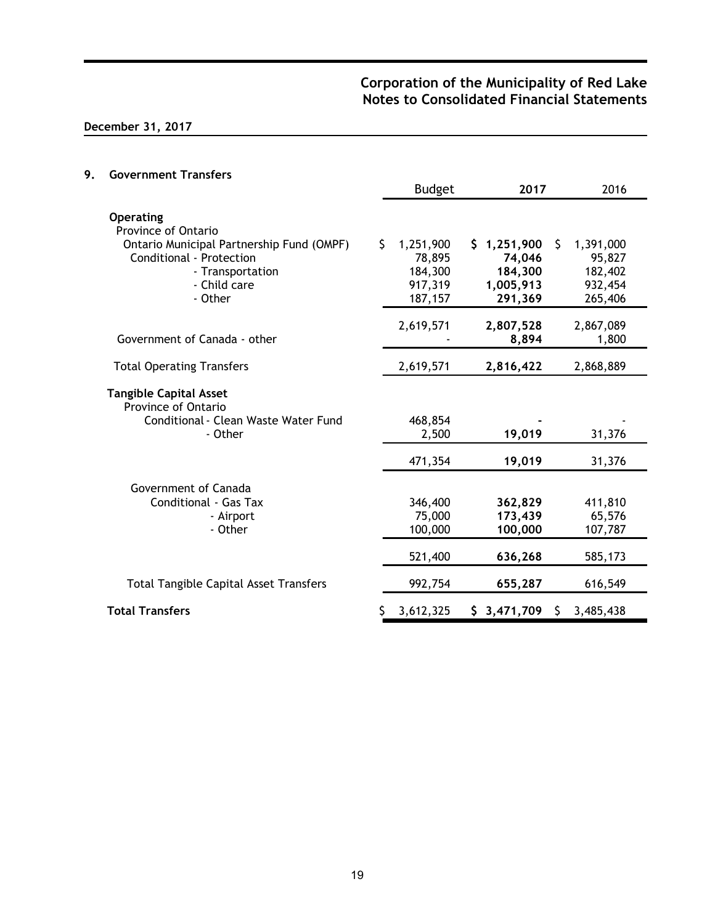## **December 31, 2017**

| 9. | <b>Government Transfers</b>                                                                         |                 |                 |    |           |
|----|-----------------------------------------------------------------------------------------------------|-----------------|-----------------|----|-----------|
|    |                                                                                                     | <b>Budget</b>   | 2017            |    | 2016      |
|    | <b>Operating</b><br>Province of Ontario                                                             |                 |                 |    |           |
|    | Ontario Municipal Partnership Fund (OMPF)                                                           | \$<br>1,251,900 | 1,251,900<br>S. | S. | 1,391,000 |
|    | Conditional - Protection                                                                            | 78,895          | 74,046          |    | 95,827    |
|    | - Transportation                                                                                    | 184,300         | 184,300         |    | 182,402   |
|    | - Child care                                                                                        | 917,319         | 1,005,913       |    | 932,454   |
|    | - Other                                                                                             | 187,157         | 291,369         |    | 265,406   |
|    |                                                                                                     | 2,619,571       | 2,807,528       |    | 2,867,089 |
|    | Government of Canada - other                                                                        |                 | 8,894           |    | 1,800     |
|    | <b>Total Operating Transfers</b>                                                                    | 2,619,571       | 2,816,422       |    | 2,868,889 |
|    | <b>Tangible Capital Asset</b><br><b>Province of Ontario</b><br>Conditional - Clean Waste Water Fund | 468,854         |                 |    |           |
|    | - Other                                                                                             | 2,500           | 19,019          |    | 31,376    |
|    |                                                                                                     | 471,354         | 19,019          |    | 31,376    |
|    | Government of Canada                                                                                |                 |                 |    |           |
|    | <b>Conditional - Gas Tax</b>                                                                        | 346,400         | 362,829         |    | 411,810   |
|    | - Airport                                                                                           | 75,000          | 173,439         |    | 65,576    |
|    | - Other                                                                                             | 100,000         | 100,000         |    | 107,787   |
|    |                                                                                                     | 521,400         | 636,268         |    | 585,173   |
|    | <b>Total Tangible Capital Asset Transfers</b>                                                       | 992,754         | 655,287         |    | 616,549   |
|    | <b>Total Transfers</b>                                                                              | \$<br>3,612,325 | 3,471,709<br>Ş. | S  | 3,485,438 |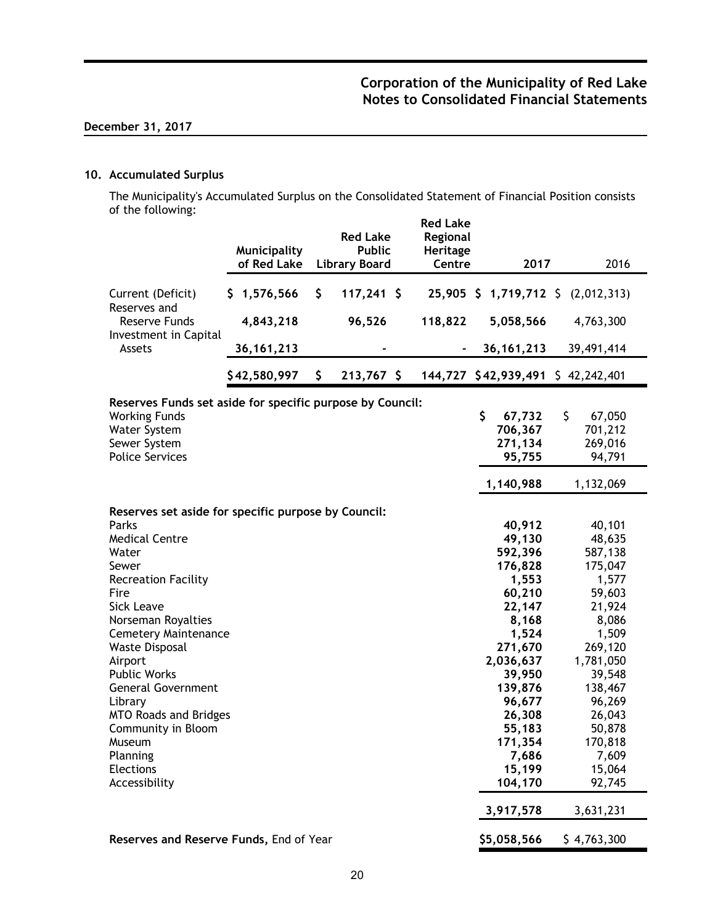## **10. Accumulated Surplus**

The Municipality's Accumulated Surplus on the Consolidated Statement of Financial Position consists of the following: **Red Lake**

|                                                              | <b>Municipality</b> | <b>Red Lake</b><br><b>Public</b> | <b>Red Lake</b><br>Regional<br>Heritage |                   |                                    |
|--------------------------------------------------------------|---------------------|----------------------------------|-----------------------------------------|-------------------|------------------------------------|
|                                                              | of Red Lake         | <b>Library Board</b>             | Centre                                  | 2017              | 2016                               |
| Current (Deficit)<br>Reserves and                            | \$1,576,566         | $117,241$ \$<br>\$.              |                                         |                   | 25,905 \$ 1,719,712 \$ (2,012,313) |
| <b>Reserve Funds</b><br>Investment in Capital                | 4,843,218           | 96,526                           | 118,822                                 | 5,058,566         | 4,763,300                          |
| Assets                                                       | 36, 161, 213        |                                  | ۰                                       | 36, 161, 213      | 39,491,414                         |
|                                                              | \$42,580,997        | $213,767$ \$<br>\$               |                                         |                   | 144,727 \$42,939,491 \$42,242,401  |
|                                                              |                     |                                  |                                         |                   |                                    |
| Reserves Funds set aside for specific purpose by Council:    |                     |                                  |                                         | \$                |                                    |
| <b>Working Funds</b><br>Water System                         |                     |                                  |                                         | 67,732<br>706,367 | \$<br>67,050<br>701,212            |
| Sewer System                                                 |                     |                                  |                                         | 271,134           | 269,016                            |
| <b>Police Services</b>                                       |                     |                                  |                                         | 95,755            | 94,791                             |
|                                                              |                     |                                  |                                         |                   |                                    |
|                                                              |                     |                                  |                                         | 1,140,988         | 1,132,069                          |
|                                                              |                     |                                  |                                         |                   |                                    |
| Reserves set aside for specific purpose by Council:<br>Parks |                     |                                  |                                         |                   | 40,101                             |
| <b>Medical Centre</b>                                        |                     |                                  |                                         | 40,912<br>49,130  | 48,635                             |
|                                                              |                     |                                  |                                         |                   |                                    |
| Water<br>Sewer                                               |                     |                                  |                                         | 592,396           | 587,138                            |
|                                                              |                     |                                  |                                         | 176,828<br>1,553  | 175,047<br>1,577                   |
| <b>Recreation Facility</b><br>Fire                           |                     |                                  |                                         | 60,210            |                                    |
| <b>Sick Leave</b>                                            |                     |                                  |                                         |                   | 59,603<br>21,924                   |
|                                                              |                     |                                  |                                         | 22,147            |                                    |
| Norseman Royalties                                           |                     |                                  |                                         | 8,168             | 8,086                              |
| <b>Cemetery Maintenance</b>                                  |                     |                                  |                                         | 1,524             | 1,509                              |
| <b>Waste Disposal</b>                                        |                     |                                  |                                         | 271,670           | 269,120                            |
| Airport                                                      |                     |                                  |                                         | 2,036,637         | 1,781,050                          |
| <b>Public Works</b>                                          |                     |                                  |                                         | 39,950            | 39,548                             |
| <b>General Government</b>                                    |                     |                                  |                                         | 139,876           | 138,467                            |
| Library                                                      |                     |                                  |                                         | 96,677            | 96,269                             |
| <b>MTO Roads and Bridges</b>                                 |                     |                                  |                                         | 26,308            | 26,043                             |
| Community in Bloom                                           |                     |                                  |                                         | 55,183            | 50,878                             |
| Museum                                                       |                     |                                  |                                         | 171,354           | 170,818                            |
| Planning                                                     |                     |                                  |                                         | 7,686             | 7,609                              |
| <b>Elections</b>                                             |                     |                                  |                                         | 15,199            | 15,064                             |
| Accessibility                                                |                     |                                  |                                         | 104,170           | 92,745                             |
|                                                              |                     |                                  |                                         | 3,917,578         | 3,631,231                          |
| Reserves and Reserve Funds, End of Year                      |                     |                                  |                                         | \$5,058,566       | \$4,763,300                        |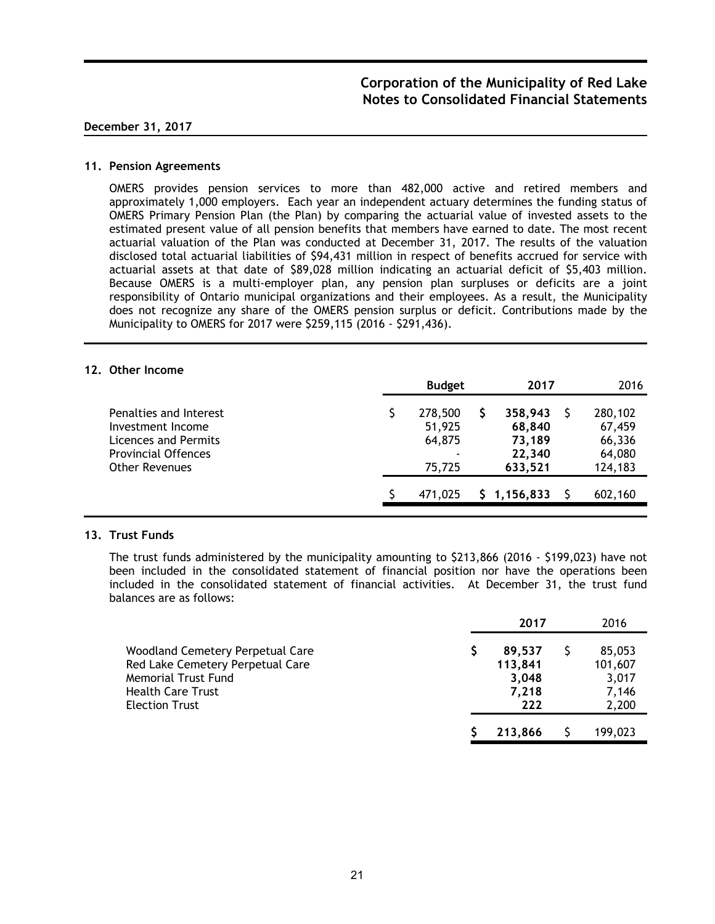## **11. Pension Agreements**

OMERS provides pension services to more than 482,000 active and retired members and approximately 1,000 employers. Each year an independent actuary determines the funding status of OMERS Primary Pension Plan (the Plan) by comparing the actuarial value of invested assets to the estimated present value of all pension benefits that members have earned to date. The most recent actuarial valuation of the Plan was conducted at December 31, 2017. The results of the valuation disclosed total actuarial liabilities of \$94,431 million in respect of benefits accrued for service with actuarial assets at that date of \$89,028 million indicating an actuarial deficit of \$5,403 million. Because OMERS is a multi-employer plan, any pension plan surpluses or deficits are a joint responsibility of Ontario municipal organizations and their employees. As a result, the Municipality does not recognize any share of the OMERS pension surplus or deficit. Contributions made by the Municipality to OMERS for 2017 were \$259,115 (2016 - \$291,436).

## **12. Other Income**

|                                                                                                                     | <b>Budget</b>                         |  |                                                  |  | 2016                                             |  |
|---------------------------------------------------------------------------------------------------------------------|---------------------------------------|--|--------------------------------------------------|--|--------------------------------------------------|--|
| Penalties and Interest<br>Investment Income<br>Licences and Permits<br><b>Provincial Offences</b><br>Other Revenues | 278,500<br>51,925<br>64,875<br>75.725 |  | 358,943<br>68,840<br>73,189<br>22,340<br>633,521 |  | 280,102<br>67,459<br>66,336<br>64,080<br>124,183 |  |
|                                                                                                                     | 471,025                               |  | 1,156,833                                        |  | 602,160                                          |  |

#### **13. Trust Funds**

The trust funds administered by the municipality amounting to \$213,866 (2016 - \$199,023) have not been included in the consolidated statement of financial position nor have the operations been included in the consolidated statement of financial activities. At December 31, the trust fund balances are as follows:

|                                                                                                                                                         | 2017                                       | 2016                                         |
|---------------------------------------------------------------------------------------------------------------------------------------------------------|--------------------------------------------|----------------------------------------------|
| Woodland Cemetery Perpetual Care<br>Red Lake Cemetery Perpetual Care<br><b>Memorial Trust Fund</b><br><b>Health Care Trust</b><br><b>Election Trust</b> | 89.537<br>113,841<br>3.048<br>7.218<br>222 | 85,053<br>101,607<br>3,017<br>7,146<br>2,200 |
|                                                                                                                                                         | 213,866                                    | 199,023                                      |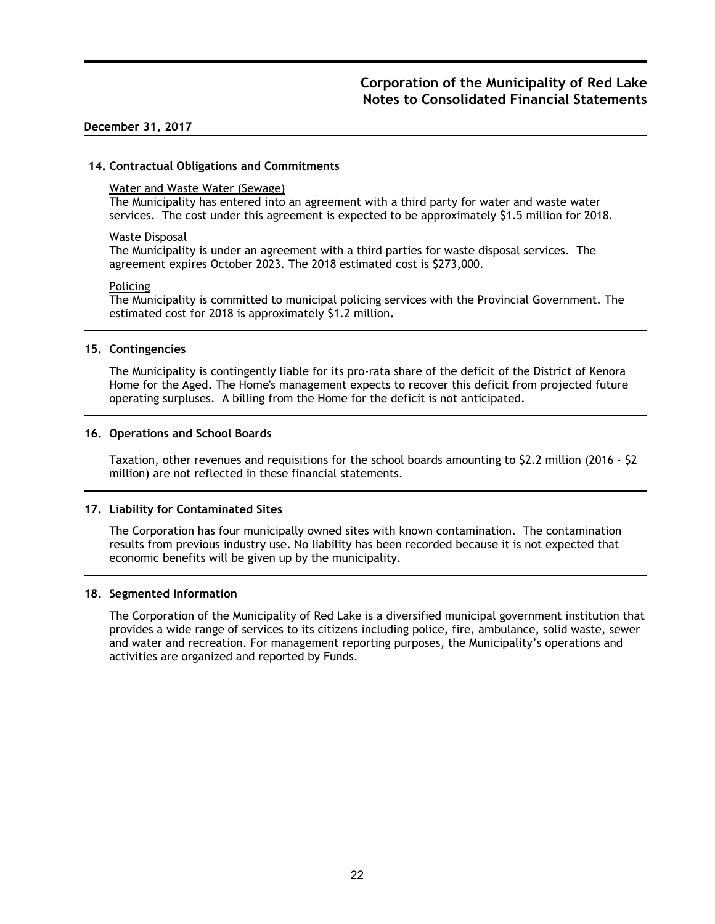## **14. Contractual Obligations and Commitments**

## Water and Waste Water (Sewage)

The Municipality has entered into an agreement with a third party for water and waste water services. The cost under this agreement is expected to be approximately \$1.5 million for 2018.

#### Waste Disposal

The Municipality is under an agreement with a third parties for waste disposal services. The agreement expires October 2023. The 2018 estimated cost is \$273,000.

#### Policing

The Municipality is committed to municipal policing services with the Provincial Government. The estimated cost for 2018 is approximately \$1.2 million**.**

## **15. Contingencies**

The Municipality is contingently liable for its pro-rata share of the deficit of the District of Kenora Home for the Aged. The Home's management expects to recover this deficit from projected future operating surpluses. A billing from the Home for the deficit is not anticipated.

## **16. Operations and School Boards**

Taxation, other revenues and requisitions for the school boards amounting to \$2.2 million (2016 - \$2 million) are not reflected in these financial statements.

## **17. Liability for Contaminated Sites**

The Corporation has four municipally owned sites with known contamination. The contamination results from previous industry use. No liability has been recorded because it is not expected that economic benefits will be given up by the municipality.

#### **18. Segmented Information**

The Corporation of the Municipality of Red Lake is a diversified municipal government institution that provides a wide range of services to its citizens including police, fire, ambulance, solid waste, sewer and water and recreation. For management reporting purposes, the Municipality's operations and activities are organized and reported by Funds.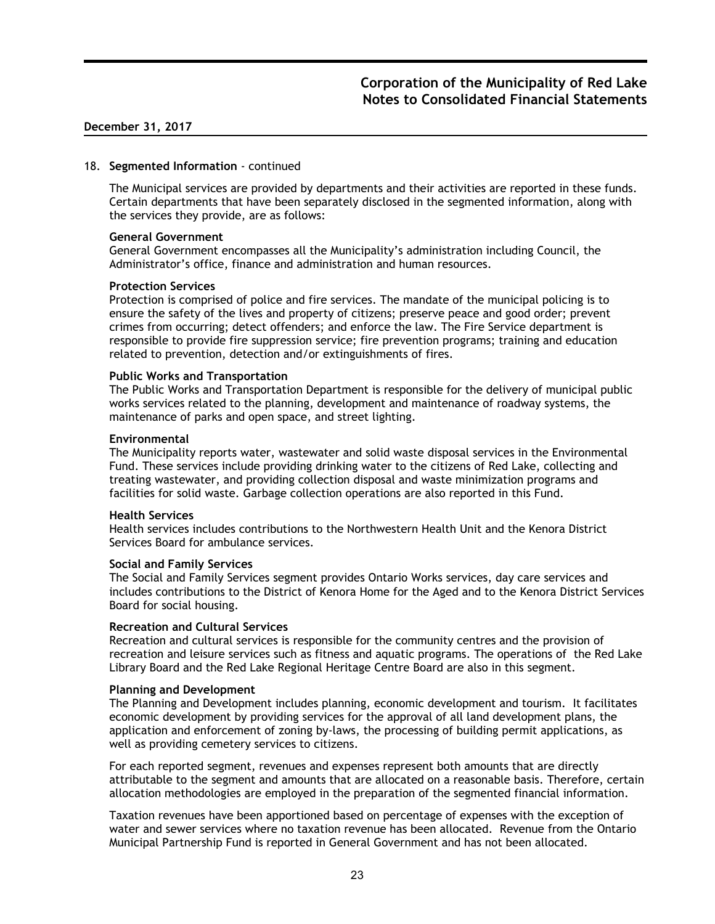## 18. **Segmented Information** - continued

The Municipal services are provided by departments and their activities are reported in these funds. Certain departments that have been separately disclosed in the segmented information, along with the services they provide, are as follows:

#### **General Government**

General Government encompasses all the Municipality's administration including Council, the Administrator's office, finance and administration and human resources.

## **Protection Services**

Protection is comprised of police and fire services. The mandate of the municipal policing is to ensure the safety of the lives and property of citizens; preserve peace and good order; prevent crimes from occurring; detect offenders; and enforce the law. The Fire Service department is responsible to provide fire suppression service; fire prevention programs; training and education related to prevention, detection and/or extinguishments of fires.

## **Public Works and Transportation**

The Public Works and Transportation Department is responsible for the delivery of municipal public works services related to the planning, development and maintenance of roadway systems, the maintenance of parks and open space, and street lighting.

## **Environmental**

The Municipality reports water, wastewater and solid waste disposal services in the Environmental Fund. These services include providing drinking water to the citizens of Red Lake, collecting and treating wastewater, and providing collection disposal and waste minimization programs and facilities for solid waste. Garbage collection operations are also reported in this Fund.

#### **Health Services**

Health services includes contributions to the Northwestern Health Unit and the Kenora District Services Board for ambulance services.

#### **Social and Family Services**

The Social and Family Services segment provides Ontario Works services, day care services and includes contributions to the District of Kenora Home for the Aged and to the Kenora District Services Board for social housing.

## **Recreation and Cultural Services**

Recreation and cultural services is responsible for the community centres and the provision of recreation and leisure services such as fitness and aquatic programs. The operations of the Red Lake Library Board and the Red Lake Regional Heritage Centre Board are also in this segment.

#### **Planning and Development**

The Planning and Development includes planning, economic development and tourism. It facilitates economic development by providing services for the approval of all land development plans, the application and enforcement of zoning by-laws, the processing of building permit applications, as well as providing cemetery services to citizens.

For each reported segment, revenues and expenses represent both amounts that are directly attributable to the segment and amounts that are allocated on a reasonable basis. Therefore, certain allocation methodologies are employed in the preparation of the segmented financial information.

Taxation revenues have been apportioned based on percentage of expenses with the exception of water and sewer services where no taxation revenue has been allocated. Revenue from the Ontario Municipal Partnership Fund is reported in General Government and has not been allocated.